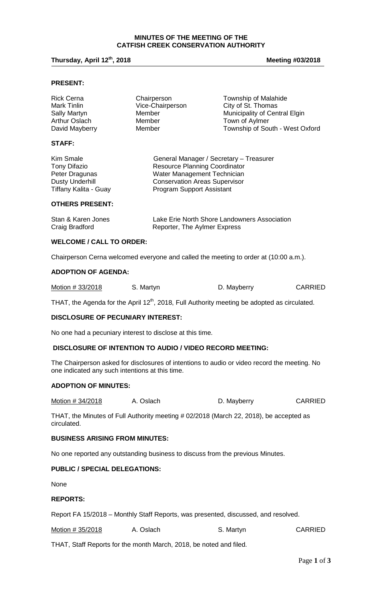#### **MINUTES OF THE MEETING OF THE CATFISH CREEK CONSERVATION AUTHORITY**

## **Thursday, April 12th, 2018 Meeting #03/2018**

#### **PRESENT:**

| <b>Rick Cerna</b> | Chairperson      | <b>Township of Malahide</b>     |
|-------------------|------------------|---------------------------------|
| Mark Tinlin       | Vice-Chairperson | City of St. Thomas              |
| Sally Martyn      | Member           | Municipality of Central Elgin   |
| Arthur Oslach     | Member           | Town of Aylmer                  |
| David Mayberry    | Member           | Township of South - West Oxford |
| <b>STAFF:</b>     |                  |                                 |

| Kim Smale              | General Manager / Secretary - Treasurer |
|------------------------|-----------------------------------------|
| Tony Difazio           | <b>Resource Planning Coordinator</b>    |
| Peter Dragunas         | Water Management Technician             |
| <b>Dusty Underhill</b> | <b>Conservation Areas Supervisor</b>    |
| Tiffany Kalita - Guay  | <b>Program Support Assistant</b>        |

# **OTHERS PRESENT:**

| Stan & Karen Jones | Lake Erie North Shore Landowners Association |
|--------------------|----------------------------------------------|
| Craig Bradford     | Reporter, The Aylmer Express                 |

## **WELCOME / CALL TO ORDER:**

Chairperson Cerna welcomed everyone and called the meeting to order at (10:00 a.m.).

#### **ADOPTION OF AGENDA:**

| Motion # 33/2018 | S. Martyn | D. Mayberry | <b>CARRIED</b> |
|------------------|-----------|-------------|----------------|
|                  |           |             |                |

THAT, the Agenda for the April 12<sup>th</sup>, 2018, Full Authority meeting be adopted as circulated.

#### **DISCLOSURE OF PECUNIARY INTEREST:**

No one had a pecuniary interest to disclose at this time.

#### **DISCLOSURE OF INTENTION TO AUDIO / VIDEO RECORD MEETING:**

The Chairperson asked for disclosures of intentions to audio or video record the meeting. No one indicated any such intentions at this time.

#### **ADOPTION OF MINUTES:**

Motion # 34/2018 A. Oslach D. Mayberry CARRIED

THAT, the Minutes of Full Authority meeting # 02/2018 (March 22, 2018), be accepted as circulated.

## **BUSINESS ARISING FROM MINUTES:**

No one reported any outstanding business to discuss from the previous Minutes.

## **PUBLIC / SPECIAL DELEGATIONS:**

None

# **REPORTS:**

Report FA 15/2018 – Monthly Staff Reports, was presented, discussed, and resolved.

| Motion # 35/2018 | A. Oslach | S. Martyn | <b>CARRIED</b> |
|------------------|-----------|-----------|----------------|
|                  |           |           |                |

THAT, Staff Reports for the month March, 2018, be noted and filed.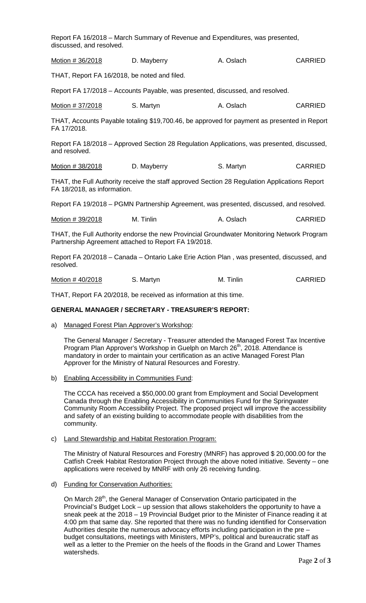| Report FA 16/2018 – March Summary of Revenue and Expenditures, was presented,<br>discussed, and resolved. |             |           |         |
|-----------------------------------------------------------------------------------------------------------|-------------|-----------|---------|
| Motion # 36/2018                                                                                          | D. Mayberry | A. Oslach | CARRIED |

THAT, Report FA 16/2018, be noted and filed.

Report FA 17/2018 – Accounts Payable, was presented, discussed, and resolved.

|  | Motion # 37/2018 | S. Martyn | A. Oslach | <b>CARRIED</b> |
|--|------------------|-----------|-----------|----------------|
|--|------------------|-----------|-----------|----------------|

THAT, Accounts Payable totaling \$19,700.46, be approved for payment as presented in Report FA 17/2018.

Report FA 18/2018 – Approved Section 28 Regulation Applications, was presented, discussed, and resolved.

| Motion # 38/2018 | D. Mayberry | S. Martyn | <b>CARRIED</b> |
|------------------|-------------|-----------|----------------|
|------------------|-------------|-----------|----------------|

THAT, the Full Authority receive the staff approved Section 28 Regulation Applications Report FA 18/2018, as information.

Report FA 19/2018 – PGMN Partnership Agreement, was presented, discussed, and resolved.

| Motion # 39/2018 | M. Tinlin | A. Oslach | <b>CARRIED</b> |
|------------------|-----------|-----------|----------------|
|------------------|-----------|-----------|----------------|

THAT, the Full Authority endorse the new Provincial Groundwater Monitoring Network Program Partnership Agreement attached to Report FA 19/2018.

Report FA 20/2018 – Canada – Ontario Lake Erie Action Plan , was presented, discussed, and resolved.

Motion # 40/2018 S. Martyn M. Tinlin CARRIED

THAT, Report FA 20/2018, be received as information at this time.

#### **GENERAL MANAGER / SECRETARY - TREASURER'S REPORT:**

a) Managed Forest Plan Approver's Workshop:

The General Manager / Secretary - Treasurer attended the Managed Forest Tax Incentive Program Plan Approver's Workshop in Guelph on March 26<sup>th</sup>, 2018. Attendance is mandatory in order to maintain your certification as an active Managed Forest Plan Approver for the Ministry of Natural Resources and Forestry.

b) Enabling Accessibility in Communities Fund:

The CCCA has received a \$50,000.00 grant from Employment and Social Development Canada through the Enabling Accessibility in Communities Fund for the Springwater Community Room Accessibility Project. The proposed project will improve the accessibility and safety of an existing building to accommodate people with disabilities from the community.

c) Land Stewardship and Habitat Restoration Program:

The Ministry of Natural Resources and Forestry (MNRF) has approved \$ 20,000.00 for the Catfish Creek Habitat Restoration Project through the above noted initiative. Seventy – one applications were received by MNRF with only 26 receiving funding.

d) Funding for Conservation Authorities:

On March 28<sup>th</sup>, the General Manager of Conservation Ontario participated in the Provincial's Budget Lock – up session that allows stakeholders the opportunity to have a sneak peek at the 2018 – 19 Provincial Budget prior to the Minister of Finance reading it at 4:00 pm that same day. She reported that there was no funding identified for Conservation Authorities despite the numerous advocacy efforts including participation in the pre – budget consultations, meetings with Ministers, MPP's, political and bureaucratic staff as well as a letter to the Premier on the heels of the floods in the Grand and Lower Thames watersheds.